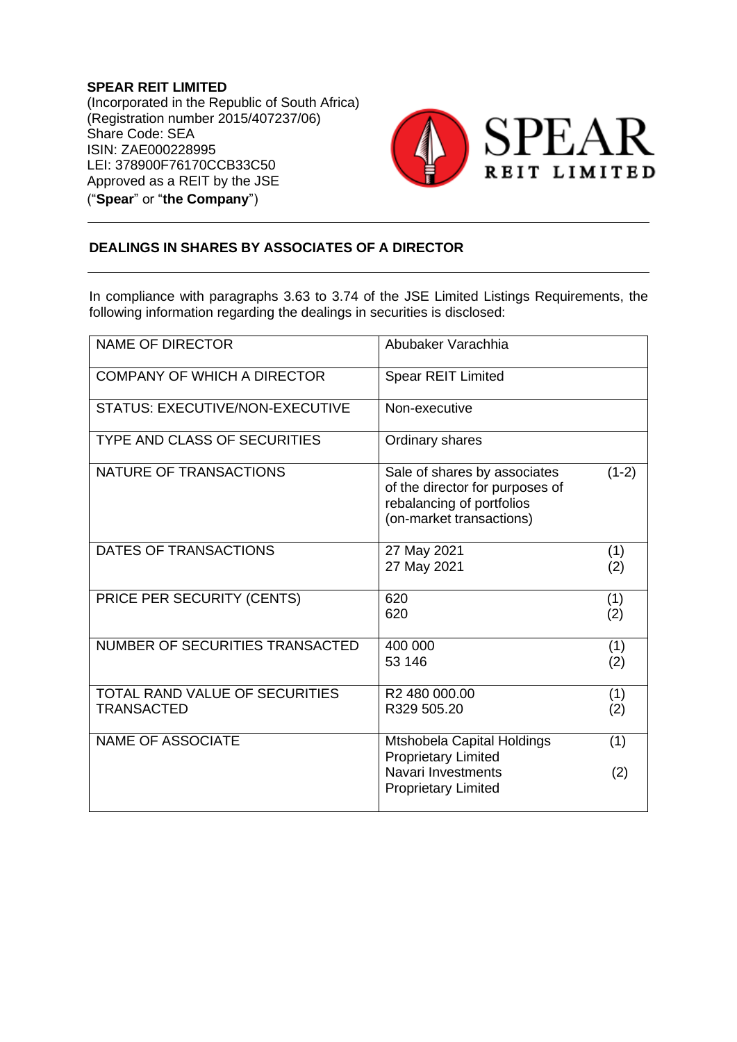**SPEAR REIT LIMITED** (Incorporated in the Republic of South Africa) (Registration number 2015/407237/06) Share Code: SEA ISIN: ZAE000228995 LEI: 378900F76170CCB33C50 Approved as a REIT by the JSE ("**Spear**" or "**the Company**")



## **DEALINGS IN SHARES BY ASSOCIATES OF A DIRECTOR**

In compliance with paragraphs 3.63 to 3.74 of the JSE Limited Listings Requirements, the following information regarding the dealings in securities is disclosed:

| <b>NAME OF DIRECTOR</b>                                    | Abubaker Varachhia                                                                                                       |            |
|------------------------------------------------------------|--------------------------------------------------------------------------------------------------------------------------|------------|
| <b>COMPANY OF WHICH A DIRECTOR</b>                         | <b>Spear REIT Limited</b>                                                                                                |            |
| <b>STATUS: EXECUTIVE/NON-EXECUTIVE</b>                     | Non-executive                                                                                                            |            |
| <b>TYPE AND CLASS OF SECURITIES</b>                        | Ordinary shares                                                                                                          |            |
| NATURE OF TRANSACTIONS                                     | Sale of shares by associates<br>of the director for purposes of<br>rebalancing of portfolios<br>(on-market transactions) | $(1-2)$    |
| DATES OF TRANSACTIONS                                      | 27 May 2021<br>27 May 2021                                                                                               | (1)<br>(2) |
| PRICE PER SECURITY (CENTS)                                 | 620<br>620                                                                                                               | (1)<br>(2) |
| NUMBER OF SECURITIES TRANSACTED                            | 400 000<br>53 146                                                                                                        | (1)<br>(2) |
| <b>TOTAL RAND VALUE OF SECURITIES</b><br><b>TRANSACTED</b> | R <sub>2</sub> 480 000,00<br>R329 505.20                                                                                 | (1)<br>(2) |
| <b>NAME OF ASSOCIATE</b>                                   | Mtshobela Capital Holdings<br><b>Proprietary Limited</b>                                                                 | (1)        |
|                                                            | Navari Investments<br><b>Proprietary Limited</b>                                                                         | (2)        |